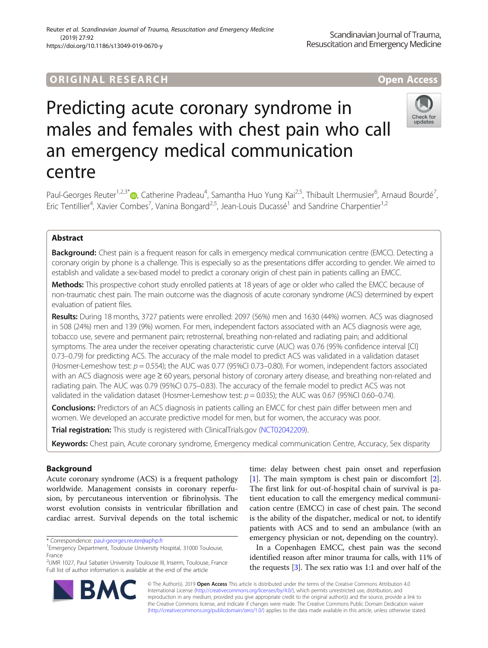

# Predicting acute coronary syndrome in males and females with chest pain who call an emergency medical communication centre

Paul-Georges Reuter<sup>1[,](http://orcid.org/0000-0001-9022-5876)2,3\*</sup> <sub>(D</sub>, Catherine Pradeau<sup>4</sup>, Samantha Huo Yung Kai<sup>2,5</sup>, Thibault Lhermusier<sup>6</sup>, Arnaud Bourdé<sup>7</sup> , Eric Tentillier<sup>4</sup>, Xavier Combes<sup>7</sup>, Vanina Bongard<sup>2,5</sup>, Jean-Louis Ducassé<sup>1</sup> and Sandrine Charpentier<sup>1,2</sup>

# Abstract

Background: Chest pain is a frequent reason for calls in emergency medical communication centre (EMCC). Detecting a coronary origin by phone is a challenge. This is especially so as the presentations differ according to gender. We aimed to establish and validate a sex-based model to predict a coronary origin of chest pain in patients calling an EMCC.

Methods: This prospective cohort study enrolled patients at 18 years of age or older who called the EMCC because of non-traumatic chest pain. The main outcome was the diagnosis of acute coronary syndrome (ACS) determined by expert evaluation of patient files.

Results: During 18 months, 3727 patients were enrolled: 2097 (56%) men and 1630 (44%) women. ACS was diagnosed in 508 (24%) men and 139 (9%) women. For men, independent factors associated with an ACS diagnosis were age, tobacco use, severe and permanent pain; retrosternal, breathing non-related and radiating pain; and additional symptoms. The area under the receiver operating characteristic curve (AUC) was 0.76 (95% confidence interval [CI] 0.73–0.79) for predicting ACS. The accuracy of the male model to predict ACS was validated in a validation dataset (Hosmer-Lemeshow test:  $p = 0.554$ ); the AUC was 0.77 (95%CI 0.73-0.80). For women, independent factors associated with an ACS diagnosis were age ≥ 60 years, personal history of coronary artery disease, and breathing non-related and radiating pain. The AUC was 0.79 (95%CI 0.75–0.83). The accuracy of the female model to predict ACS was not validated in the validation dataset (Hosmer-Lemeshow test:  $p = 0.035$ ); the AUC was 0.67 (95%Cl 0.60-0.74).

**Conclusions:** Predictors of an ACS diagnosis in patients calling an EMCC for chest pain differ between men and women. We developed an accurate predictive model for men, but for women, the accuracy was poor.

**Trial registration:** This study is registered with ClinicalTrials.gov ([NCT02042209](https://clinicaltrials.gov/ct2/show/NCT02042209?term=DOREMI2&rank=1)).

Keywords: Chest pain, Acute coronary syndrome, Emergency medical communication Centre, Accuracy, Sex disparity

# Background

Acute coronary syndrome (ACS) is a frequent pathology worldwide. Management consists in coronary reperfusion, by percutaneous intervention or fibrinolysis. The worst evolution consists in ventricular fibrillation and cardiac arrest. Survival depends on the total ischemic

time: delay between chest pain onset and reperfusion [[1\]](#page-9-0). The main symptom is chest pain or discomfort [\[2](#page-9-0)]. The first link for out-of-hospital chain of survival is patient education to call the emergency medical communication centre (EMCC) in case of chest pain. The second is the ability of the dispatcher, medical or not, to identify patients with ACS and to send an ambulance (with an emergency physician or not, depending on the country).

In a Copenhagen EMCC, chest pain was the second identified reason after minor trauma for calls, with 11% of the requests [\[3\]](#page-9-0). The sex ratio was 1:1 and over half of the



© The Author(s). 2019 Open Access This article is distributed under the terms of the Creative Commons Attribution 4.0 International License [\(http://creativecommons.org/licenses/by/4.0/](http://creativecommons.org/licenses/by/4.0/)), which permits unrestricted use, distribution, and reproduction in any medium, provided you give appropriate credit to the original author(s) and the source, provide a link to the Creative Commons license, and indicate if changes were made. The Creative Commons Public Domain Dedication waiver [\(http://creativecommons.org/publicdomain/zero/1.0/](http://creativecommons.org/publicdomain/zero/1.0/)) applies to the data made available in this article, unless otherwise stated.

<sup>\*</sup> Correspondence: [paul-georges.reuter@aphp.fr](mailto:paul-georges.reuter@aphp.fr) <sup>1</sup>

<sup>&</sup>lt;sup>1</sup> Emergency Department, Toulouse University Hospital, 31000 Toulouse, France

<sup>&</sup>lt;sup>2</sup>UMR 1027, Paul Sabatier University Toulouse III, Inserm, Toulouse, France Full list of author information is available at the end of the article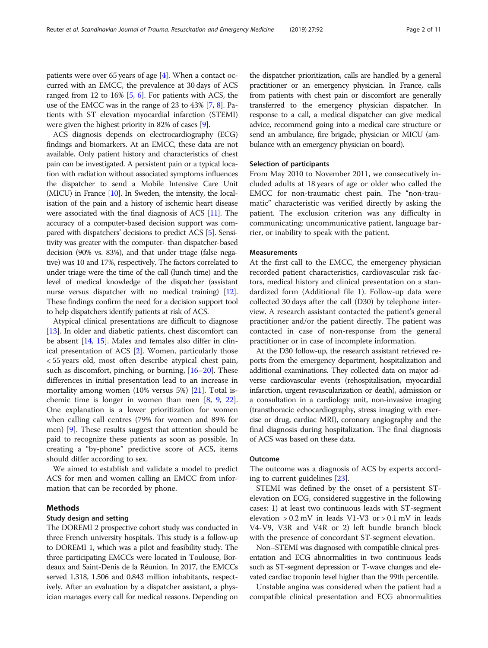patients were over 65 years of age [[4](#page-9-0)]. When a contact occurred with an EMCC, the prevalence at 30 days of ACS ranged from 12 to 16% [[5](#page-9-0), [6\]](#page-9-0). For patients with ACS, the use of the EMCC was in the range of 23 to 43% [[7](#page-9-0), [8](#page-9-0)]. Patients with ST elevation myocardial infarction (STEMI) were given the highest priority in 82% of cases [[9\]](#page-9-0).

ACS diagnosis depends on electrocardiography (ECG) findings and biomarkers. At an EMCC, these data are not available. Only patient history and characteristics of chest pain can be investigated. A persistent pain or a typical location with radiation without associated symptoms influences the dispatcher to send a Mobile Intensive Care Unit (MICU) in France [[10](#page-9-0)]. In Sweden, the intensity, the localisation of the pain and a history of ischemic heart disease were associated with the final diagnosis of ACS [\[11\]](#page-9-0). The accuracy of a computer-based decision support was compared with dispatchers' decisions to predict ACS [\[5\]](#page-9-0). Sensitivity was greater with the computer- than dispatcher-based decision (90% vs. 83%), and that under triage (false negative) was 10 and 17%, respectively. The factors correlated to under triage were the time of the call (lunch time) and the level of medical knowledge of the dispatcher (assistant nurse versus dispatcher with no medical training) [\[12](#page-9-0)]. These findings confirm the need for a decision support tool to help dispatchers identify patients at risk of ACS.

Atypical clinical presentations are difficult to diagnose [[13\]](#page-9-0). In older and diabetic patients, chest discomfort can be absent [\[14](#page-9-0), [15\]](#page-9-0). Males and females also differ in clinical presentation of ACS [[2\]](#page-9-0). Women, particularly those < 55 years old, most often describe atypical chest pain, such as discomfort, pinching, or burning, [\[16](#page-9-0)–[20\]](#page-10-0). These differences in initial presentation lead to an increase in mortality among women (10% versus 5%) [[21](#page-10-0)]. Total ischemic time is longer in women than men [[8,](#page-9-0) [9](#page-9-0), [22](#page-10-0)]. One explanation is a lower prioritization for women when calling call centres (79% for women and 89% for men) [[9\]](#page-9-0). These results suggest that attention should be paid to recognize these patients as soon as possible. In creating a "by-phone" predictive score of ACS, items should differ according to sex.

We aimed to establish and validate a model to predict ACS for men and women calling an EMCC from information that can be recorded by phone.

## Methods

#### Study design and setting

The DOREMI 2 prospective cohort study was conducted in three French university hospitals. This study is a follow-up to DOREMI 1, which was a pilot and feasibility study. The three participating EMCCs were located in Toulouse, Bordeaux and Saint-Denis de la Réunion. In 2017, the EMCCs served 1.318, 1.506 and 0.843 million inhabitants, respectively. After an evaluation by a dispatcher assistant, a physician manages every call for medical reasons. Depending on the dispatcher prioritization, calls are handled by a general practitioner or an emergency physician. In France, calls from patients with chest pain or discomfort are generally transferred to the emergency physician dispatcher. In response to a call, a medical dispatcher can give medical advice, recommend going into a medical care structure or send an ambulance, fire brigade, physician or MICU (ambulance with an emergency physician on board).

# Selection of participants

From May 2010 to November 2011, we consecutively included adults at 18 years of age or older who called the EMCC for non-traumatic chest pain. The "non-traumatic" characteristic was verified directly by asking the patient. The exclusion criterion was any difficulty in communicating: uncommunicative patient, language barrier, or inability to speak with the patient.

#### Measurements

At the first call to the EMCC, the emergency physician recorded patient characteristics, cardiovascular risk factors, medical history and clinical presentation on a standardized form (Additional file [1\)](#page-9-0). Follow-up data were collected 30 days after the call (D30) by telephone interview. A research assistant contacted the patient's general practitioner and/or the patient directly. The patient was contacted in case of non-response from the general practitioner or in case of incomplete information.

At the D30 follow-up, the research assistant retrieved reports from the emergency department, hospitalization and additional examinations. They collected data on major adverse cardiovascular events (rehospitalisation, myocardial infarction, urgent revascularization or death), admission or a consultation in a cardiology unit, non-invasive imaging (transthoracic echocardiography, stress imaging with exercise or drug, cardiac MRI), coronary angiography and the final diagnosis during hospitalization. The final diagnosis of ACS was based on these data.

#### Outcome

The outcome was a diagnosis of ACS by experts according to current guidelines [[23](#page-10-0)].

STEMI was defined by the onset of a persistent STelevation on ECG, considered suggestive in the following cases: 1) at least two continuous leads with ST-segment elevation  $> 0.2$  mV in leads V1-V3 or  $> 0.1$  mV in leads V4-V9, V3R and V4R or 2) left bundle branch block with the presence of concordant ST-segment elevation.

Non–STEMI was diagnosed with compatible clinical presentation and ECG abnormalities in two continuous leads such as ST-segment depression or T-wave changes and elevated cardiac troponin level higher than the 99th percentile.

Unstable angina was considered when the patient had a compatible clinical presentation and ECG abnormalities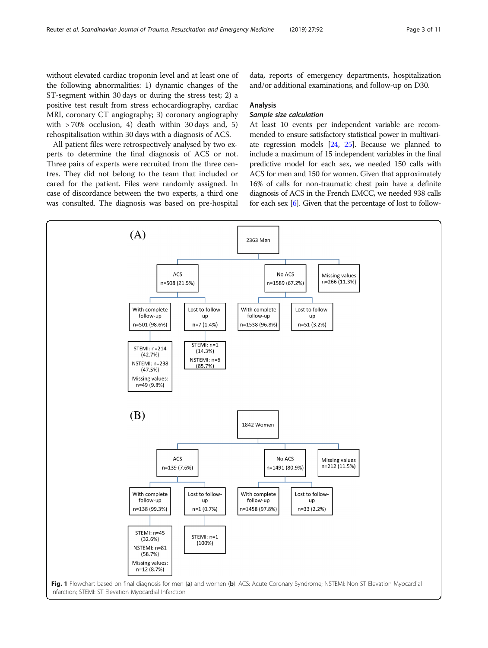<span id="page-2-0"></span>without elevated cardiac troponin level and at least one of the following abnormalities: 1) dynamic changes of the ST-segment within 30 days or during the stress test; 2) a positive test result from stress echocardiography, cardiac MRI, coronary CT angiography; 3) coronary angiography with  $> 70\%$  occlusion, 4) death within 30 days and, 5) rehospitalisation within 30 days with a diagnosis of ACS.

All patient files were retrospectively analysed by two experts to determine the final diagnosis of ACS or not. Three pairs of experts were recruited from the three centres. They did not belong to the team that included or cared for the patient. Files were randomly assigned. In case of discordance between the two experts, a third one was consulted. The diagnosis was based on pre-hospital data, reports of emergency departments, hospitalization and/or additional examinations, and follow-up on D30.

#### Analysis

# Sample size calculation

At least 10 events per independent variable are recommended to ensure satisfactory statistical power in multivariate regression models [\[24,](#page-10-0) [25\]](#page-10-0). Because we planned to include a maximum of 15 independent variables in the final predictive model for each sex, we needed 150 calls with ACS for men and 150 for women. Given that approximately 16% of calls for non-traumatic chest pain have a definite diagnosis of ACS in the French EMCC, we needed 938 calls for each sex  $[6]$ . Given that the percentage of lost to follow-

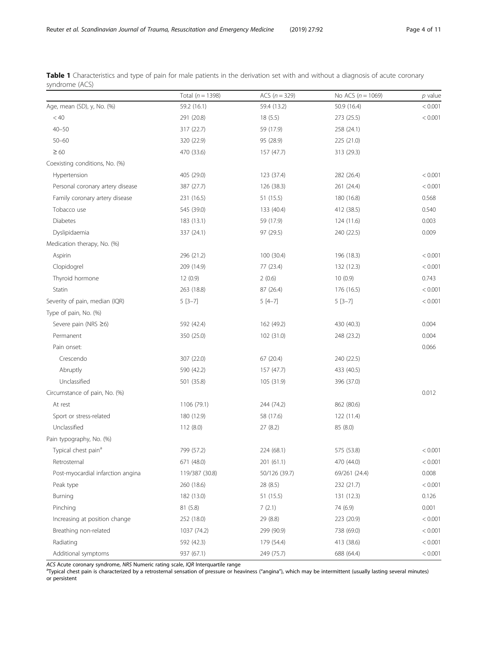|                                   | Total ( $n = 1398$ ) | ACS $(n = 329)$ | No ACS $(n = 1069)$ | $p$ value |
|-----------------------------------|----------------------|-----------------|---------------------|-----------|
| Age, mean (SD), y, No. (%)        | 59.2 (16.1)          | 59.4 (13.2)     | 50.9 (16.4)         | < 0.001   |
| < 40                              | 291 (20.8)           | 18(5.5)         | 273 (25.5)          | < 0.001   |
| $40 - 50$                         | 317 (22.7)           | 59 (17.9)       | 258 (24.1)          |           |
| $50 - 60$                         | 320 (22.9)           | 95 (28.9)       | 225 (21.0)          |           |
| $\geq 60$                         | 470 (33.6)           | 157 (47.7)      | 313 (29.3)          |           |
| Coexisting conditions, No. (%)    |                      |                 |                     |           |
| Hypertension                      | 405 (29.0)           | 123 (37.4)      | 282 (26.4)          | < 0.001   |
| Personal coronary artery disease  | 387 (27.7)           | 126 (38.3)      | 261 (24.4)          | < 0.001   |
| Family coronary artery disease    | 231 (16.5)           | 51(15.5)        | 180 (16.8)          | 0.568     |
| Tobacco use                       | 545 (39.0)           | 133 (40.4)      | 412 (38.5)          | 0.540     |
| <b>Diabetes</b>                   | 183 (13.1)           | 59 (17.9)       | 124 (11.6)          | 0.003     |
| Dyslipidaemia                     | 337 (24.1)           | 97 (29.5)       | 240 (22.5)          | 0.009     |
| Medication therapy, No. (%)       |                      |                 |                     |           |
| Aspirin                           | 296 (21.2)           | 100 (30.4)      | 196 (18.3)          | < 0.001   |
| Clopidogrel                       | 209 (14.9)           | 77 (23.4)       | 132 (12.3)          | < 0.001   |
| Thyroid hormone                   | 12(0.9)              | 2(0.6)          | 10(0.9)             | 0.743     |
| Statin                            | 263 (18.8)           | 87 (26.4)       | 176 (16.5)          | < 0.001   |
| Severity of pain, median (IQR)    | $5[3-7]$             | $5[4-7]$        | $5[3-7]$            | < 0.001   |
| Type of pain, No. (%)             |                      |                 |                     |           |
| Severe pain (NRS ≥6)              | 592 (42.4)           | 162 (49.2)      | 430 (40.3)          | 0.004     |
| Permanent                         | 350 (25.0)           | 102 (31.0)      | 248 (23.2)          | 0.004     |
| Pain onset:                       |                      |                 |                     | 0.066     |
| Crescendo                         | 307 (22.0)           | 67 (20.4)       | 240 (22.5)          |           |
| Abruptly                          | 590 (42.2)           | 157 (47.7)      | 433 (40.5)          |           |
| Unclassified                      | 501 (35.8)           | 105 (31.9)      | 396 (37.0)          |           |
| Circumstance of pain, No. (%)     |                      |                 |                     | 0.012     |
| At rest                           | 1106 (79.1)          | 244 (74.2)      | 862 (80.6)          |           |
| Sport or stress-related           | 180 (12.9)           | 58 (17.6)       | 122 (11.4)          |           |
| Unclassified                      | 112(8.0)             | 27(8.2)         | 85 (8.0)            |           |
| Pain typography, No. (%)          |                      |                 |                     |           |
| Typical chest pain <sup>a</sup>   | 799 (57.2)           | 224 (68.1)      | 575 (53.8)          | < 0.001   |
| Retrosternal                      | 671 (48.0)           | 201 (61.1)      | 470 (44.0)          | < 0.001   |
| Post-myocardial infarction angina | 119/387 (30.8)       | 50/126 (39.7)   | 69/261 (24.4)       | 0.008     |
| Peak type                         | 260 (18.6)           | 28 (8.5)        | 232 (21.7)          | < 0.001   |
| Burning                           | 182 (13.0)           | 51(15.5)        | 131 (12.3)          | 0.126     |
| Pinching                          | 81 (5.8)             | 7(2.1)          | 74 (6.9)            | 0.001     |
| Increasing at position change     | 252 (18.0)           | 29 (8.8)        | 223 (20.9)          | < 0.001   |
| Breathing non-related             | 1037 (74.2)          | 299 (90.9)      | 738 (69.0)          | < 0.001   |
| Radiating                         | 592 (42.3)           | 179 (54.4)      | 413 (38.6)          | < 0.001   |
| Additional symptoms               | 937 (67.1)           | 249 (75.7)      | 688 (64.4)          | < 0.001   |

<span id="page-3-0"></span>Table 1 Characteristics and type of pain for male patients in the derivation set with and without a diagnosis of acute coronary syndrome (ACS)

ACS Acute coronary syndrome, NRS Numeric rating scale, IQR Interquartile range<br><sup>a</sup>Typical chest pain is characterized by a retrosternal sensation of pressure or heaviness ("angina"), which may be intermittent (usually last or persistent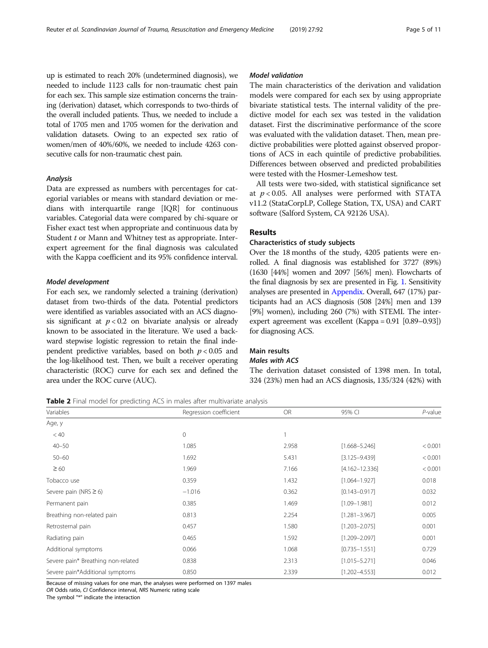<span id="page-4-0"></span>up is estimated to reach 20% (undetermined diagnosis), we needed to include 1123 calls for non-traumatic chest pain for each sex. This sample size estimation concerns the training (derivation) dataset, which corresponds to two-thirds of the overall included patients. Thus, we needed to include a total of 1705 men and 1705 women for the derivation and validation datasets. Owing to an expected sex ratio of women/men of 40%/60%, we needed to include 4263 consecutive calls for non-traumatic chest pain.

#### Analysis

Data are expressed as numbers with percentages for categorial variables or means with standard deviation or medians with interquartile range [IQR] for continuous variables. Categorial data were compared by chi-square or Fisher exact test when appropriate and continuous data by Student t or Mann and Whitney test as appropriate. Interexpert agreement for the final diagnosis was calculated with the Kappa coefficient and its 95% confidence interval.

#### Model development

For each sex, we randomly selected a training (derivation) dataset from two-thirds of the data. Potential predictors were identified as variables associated with an ACS diagnosis significant at  $p < 0.2$  on bivariate analysis or already known to be associated in the literature. We used a backward stepwise logistic regression to retain the final independent predictive variables, based on both  $p < 0.05$  and the log-likelihood test. Then, we built a receiver operating characteristic (ROC) curve for each sex and defined the area under the ROC curve (AUC).

#### Model validation

The main characteristics of the derivation and validation models were compared for each sex by using appropriate bivariate statistical tests. The internal validity of the predictive model for each sex was tested in the validation dataset. First the discriminative performance of the score was evaluated with the validation dataset. Then, mean predictive probabilities were plotted against observed proportions of ACS in each quintile of predictive probabilities. Differences between observed and predicted probabilities were tested with the Hosmer-Lemeshow test.

All tests were two-sided, with statistical significance set at  $p < 0.05$ . All analyses were performed with STATA v11.2 (StataCorpLP, College Station, TX, USA) and CART software (Salford System, CA 92126 USA).

# Results

#### Characteristics of study subjects

Over the 18 months of the study, 4205 patients were enrolled. A final diagnosis was established for 3727 (89%) (1630 [44%] women and 2097 [56%] men). Flowcharts of the final diagnosis by sex are presented in Fig. [1](#page-2-0). Sensitivity analyses are presented in Appendix. Overall, 647 (17%) participants had an ACS diagnosis (508 [24%] men and 139 [9%] women), including 260 (7%) with STEMI. The interexpert agreement was excellent (Kappa = 0.91 [0.89–0.93]) for diagnosing ACS.

# Main results Males with ACS

# The derivation dataset consisted of 1398 men. In total, 324 (23%) men had an ACS diagnosis, 135/324 (42%) with

Table 2 Final model for predicting ACS in males after multivariate analysis

| Variables                          | Regression coefficient | <b>OR</b> | 95% CI             | $P$ -value |
|------------------------------------|------------------------|-----------|--------------------|------------|
| Age, y                             |                        |           |                    |            |
| < 40                               | $\mathbf 0$            |           |                    |            |
| $40 - 50$                          | 1.085                  | 2.958     | $[1.668 - 5.246]$  | < 0.001    |
| $50 - 60$                          | 1.692                  | 5.431     | $[3.125 - 9.439]$  | < 0.001    |
| $\geq 60$                          | 1.969                  | 7.166     | $[4.162 - 12.336]$ | < 0.001    |
| Tobacco use                        | 0.359                  | 1.432     | $[1.064 - 1.927]$  | 0.018      |
| Severe pain (NRS $\geq$ 6)         | $-1.016$               | 0.362     | $[0.143 - 0.917]$  | 0.032      |
| Permanent pain                     | 0.385                  | 1.469     | $[1.09 - 1.981]$   | 0.012      |
| Breathing non-related pain         | 0.813                  | 2.254     | $[1.281 - 3.967]$  | 0.005      |
| Retrosternal pain                  | 0.457                  | 1.580     | $[1.203 - 2.075]$  | 0.001      |
| Radiating pain                     | 0.465                  | 1.592     | $[1.209 - 2.097]$  | 0.001      |
| Additional symptoms                | 0.066                  | 1.068     | $[0.735 - 1.551]$  | 0.729      |
| Severe pain* Breathing non-related | 0.838                  | 2.313     | $[1.015 - 5.271]$  | 0.046      |
| Severe pain*Additional symptoms    | 0.850                  | 2.339     | $[1.202 - 4.553]$  | 0.012      |

Because of missing values for one man, the analyses were performed on 1397 males OR Odds ratio, CI Confidence interval, NRS Numeric rating scale

The symbol "\*" indicate the interaction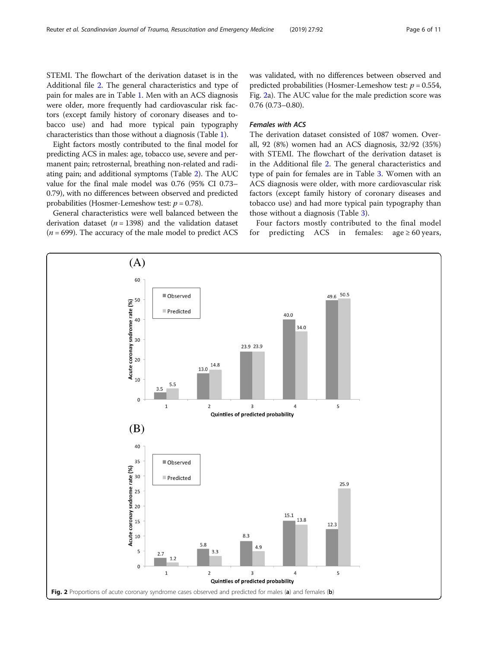<span id="page-5-0"></span>STEMI. The flowchart of the derivation dataset is in the Additional file [2.](#page-9-0) The general characteristics and type of pain for males are in Table [1.](#page-3-0) Men with an ACS diagnosis were older, more frequently had cardiovascular risk factors (except family history of coronary diseases and tobacco use) and had more typical pain typography characteristics than those without a diagnosis (Table [1\)](#page-3-0).

Eight factors mostly contributed to the final model for predicting ACS in males: age, tobacco use, severe and permanent pain; retrosternal, breathing non-related and radiating pain; and additional symptoms (Table [2](#page-4-0)). The AUC value for the final male model was 0.76 (95% CI 0.73– 0.79), with no differences between observed and predicted probabilities (Hosmer-Lemeshow test:  $p = 0.78$ ).

General characteristics were well balanced between the derivation dataset ( $n = 1398$ ) and the validation dataset  $(n = 699)$ . The accuracy of the male model to predict ACS was validated, with no differences between observed and predicted probabilities (Hosmer-Lemeshow test:  $p = 0.554$ , Fig. 2a). The AUC value for the male prediction score was 0.76 (0.73–0.80).

# Females with ACS

The derivation dataset consisted of 1087 women. Overall, 92 (8%) women had an ACS diagnosis, 32/92 (35%) with STEMI. The flowchart of the derivation dataset is in the Additional file [2.](#page-9-0) The general characteristics and type of pain for females are in Table [3](#page-6-0). Women with an ACS diagnosis were older, with more cardiovascular risk factors (except family history of coronary diseases and tobacco use) and had more typical pain typography than those without a diagnosis (Table [3\)](#page-6-0).

Four factors mostly contributed to the final model for predicting ACS in females: age  $\geq 60$  years,

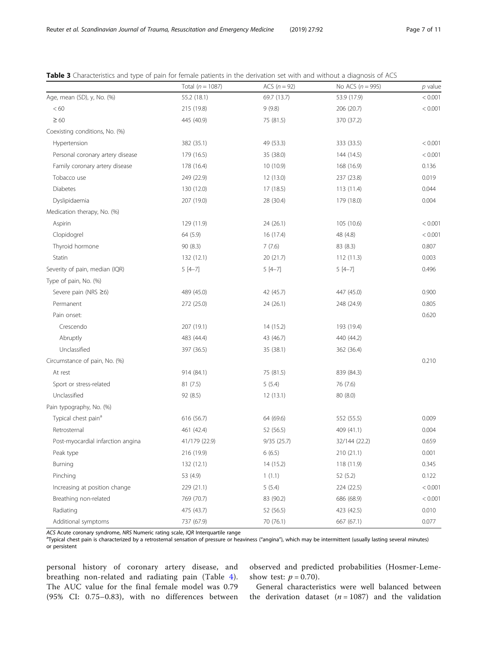|                                   | Total ( $n = 1087$ ) | ACS $(n = 92)$ | No ACS ( $n = 995$ ) | $p$ value |
|-----------------------------------|----------------------|----------------|----------------------|-----------|
| Age, mean (SD), y, No. (%)        | 55.2 (18.1)          | 69.7 (13.7)    | 53.9 (17.9)          | < 0.001   |
| < 60                              | 215 (19.8)           | 9(9.8)         | 206 (20.7)           | < 0.001   |
| $\geq 60$                         | 445 (40.9)           | 75 (81.5)      | 370 (37.2)           |           |
| Coexisting conditions, No. (%)    |                      |                |                      |           |
| Hypertension                      | 382 (35.1)           | 49 (53.3)      | 333 (33.5)           | < 0.001   |
| Personal coronary artery disease  | 179 (16.5)           | 35 (38.0)      | 144 (14.5)           | < 0.001   |
| Family coronary artery disease    | 178 (16.4)           | 10(10.9)       | 168 (16.9)           | 0.136     |
| Tobacco use                       | 249 (22.9)           | 12(13.0)       | 237 (23.8)           | 0.019     |
| Diabetes                          | 130 (12.0)           | 17(18.5)       | 113(11.4)            | 0.044     |
| Dyslipidaemia                     | 207 (19.0)           | 28 (30.4)      | 179 (18.0)           | 0.004     |
| Medication therapy, No. (%)       |                      |                |                      |           |
| Aspirin                           | 129 (11.9)           | 24(26.1)       | 105 (10.6)           | < 0.001   |
| Clopidogrel                       | 64 (5.9)             | 16 (17.4)      | 48 (4.8)             | < 0.001   |
| Thyroid hormone                   | 90(8.3)              | 7(7.6)         | 83 (8.3)             | 0.807     |
| Statin                            | 132 (12.1)           | 20 (21.7)      | 112(11.3)            | 0.003     |
| Severity of pain, median (IQR)    | $5[4-7]$             | $5[4-7]$       | $5[4-7]$             | 0.496     |
| Type of pain, No. (%)             |                      |                |                      |           |
| Severe pain (NRS ≥6)              | 489 (45.0)           | 42 (45.7)      | 447 (45.0)           | 0.900     |
| Permanent                         | 272 (25.0)           | 24 (26.1)      | 248 (24.9)           | 0.805     |
| Pain onset:                       |                      |                |                      | 0.620     |
| Crescendo                         | 207 (19.1)           | 14(15.2)       | 193 (19.4)           |           |
| Abruptly                          | 483 (44.4)           | 43 (46.7)      | 440 (44.2)           |           |
| Unclassified                      | 397 (36.5)           | 35 (38.1)      | 362 (36.4)           |           |
| Circumstance of pain, No. (%)     |                      |                |                      | 0.210     |
| At rest                           | 914 (84.1)           | 75 (81.5)      | 839 (84.3)           |           |
| Sport or stress-related           | 81(7.5)              | 5(5.4)         | 76 (7.6)             |           |
| Unclassified                      | 92 (8.5)             | 12(13.1)       | 80(8.0)              |           |
| Pain typography, No. (%)          |                      |                |                      |           |
| Typical chest pain <sup>a</sup>   | 616 (56.7)           | 64 (69.6)      | 552 (55.5)           | 0.009     |
| Retrosternal                      | 461 (42.4)           | 52 (56.5)      | 409 (41.1)           | 0.004     |
| Post-myocardial infarction angina | 41/179 (22.9)        | 9/35(25.7)     | 32/144 (22.2)        | 0.659     |
| Peak type                         | 216 (19.9)           | 6(6.5)         | 210 (21.1)           | 0.001     |
| Burning                           | 132 (12.1)           | 14 (15.2)      | 118 (11.9)           | 0.345     |
| Pinching                          | 53 (4.9)             | 1(1.1)         | 52(5.2)              | 0.122     |
| Increasing at position change     | 229 (21.1)           | 5(5.4)         | 224 (22.5)           | < 0.001   |
| Breathing non-related             | 769 (70.7)           | 83 (90.2)      | 686 (68.9)           | < 0.001   |
| Radiating                         | 475 (43.7)           | 52 (56.5)      | 423 (42.5)           | 0.010     |
| Additional symptoms               | 737 (67.9)           | 70 (76.1)      | 667 (67.1)           | 0.077     |

<span id="page-6-0"></span>

|  | <b>Table 3</b> Characteristics and type of pain for female patients in the derivation set with and without a diagnosis of ACS |  |
|--|-------------------------------------------------------------------------------------------------------------------------------|--|
|  |                                                                                                                               |  |

ACS Acute coronary syndrome, NRS Numeric rating scale, IQR Interquartile range

<sup>a</sup>Typical chest pain is characterized by a retrosternal sensation of pressure or heaviness ("angina"), which may be intermittent (usually lasting several minutes) or persistent

personal history of coronary artery disease, and breathing non-related and radiating pain (Table [4](#page-7-0)). The AUC value for the final female model was 0.79 (95% CI: 0.75–0.83), with no differences between observed and predicted probabilities (Hosmer-Lemeshow test:  $p = 0.70$ ).

General characteristics were well balanced between the derivation dataset ( $n = 1087$ ) and the validation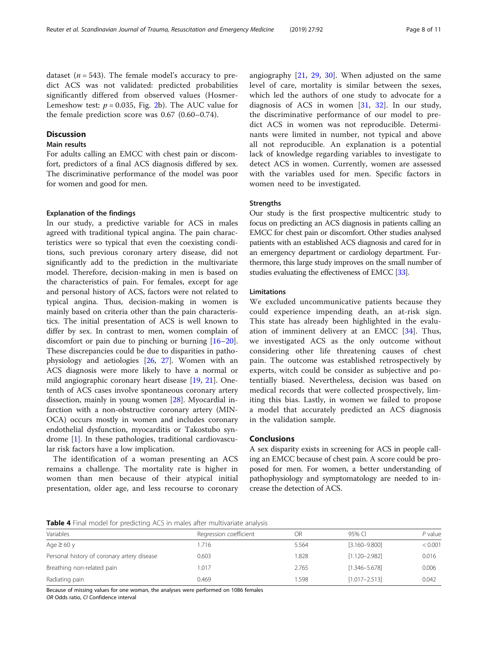<span id="page-7-0"></span>dataset ( $n = 543$ ). The female model's accuracy to predict ACS was not validated: predicted probabilities significantly differed from observed values (Hosmer-Lemeshow test:  $p = 0.035$ , Fig. [2](#page-5-0)b). The AUC value for the female prediction score was 0.67 (0.60–0.74).

# **Discussion**

# Main results

For adults calling an EMCC with chest pain or discomfort, predictors of a final ACS diagnosis differed by sex. The discriminative performance of the model was poor for women and good for men.

#### Explanation of the findings

In our study, a predictive variable for ACS in males agreed with traditional typical angina. The pain characteristics were so typical that even the coexisting conditions, such previous coronary artery disease, did not significantly add to the prediction in the multivariate model. Therefore, decision-making in men is based on the characteristics of pain. For females, except for age and personal history of ACS, factors were not related to typical angina. Thus, decision-making in women is mainly based on criteria other than the pain characteristics. The initial presentation of ACS is well known to differ by sex. In contrast to men, women complain of discomfort or pain due to pinching or burning [[16](#page-9-0)–[20](#page-10-0)]. These discrepancies could be due to disparities in pathophysiology and aetiologies [[26,](#page-10-0) [27\]](#page-10-0). Women with an ACS diagnosis were more likely to have a normal or mild angiographic coronary heart disease [[19,](#page-10-0) [21](#page-10-0)]. Onetenth of ACS cases involve spontaneous coronary artery dissection, mainly in young women [[28\]](#page-10-0). Myocardial infarction with a non-obstructive coronary artery (MIN-OCA) occurs mostly in women and includes coronary endothelial dysfunction, myocarditis or Takostubo syndrome [\[1](#page-9-0)]. In these pathologies, traditional cardiovascular risk factors have a low implication.

The identification of a woman presenting an ACS remains a challenge. The mortality rate is higher in women than men because of their atypical initial presentation, older age, and less recourse to coronary angiography [\[21](#page-10-0), [29,](#page-10-0) [30](#page-10-0)]. When adjusted on the same level of care, mortality is similar between the sexes, which led the authors of one study to advocate for a diagnosis of ACS in women  $[31, 32]$  $[31, 32]$  $[31, 32]$  $[31, 32]$ . In our study, the discriminative performance of our model to predict ACS in women was not reproducible. Determinants were limited in number, not typical and above all not reproducible. An explanation is a potential lack of knowledge regarding variables to investigate to detect ACS in women. Currently, women are assessed with the variables used for men. Specific factors in women need to be investigated.

### **Strengths**

Our study is the first prospective multicentric study to focus on predicting an ACS diagnosis in patients calling an EMCC for chest pain or discomfort. Other studies analysed patients with an established ACS diagnosis and cared for in an emergency department or cardiology department. Furthermore, this large study improves on the small number of studies evaluating the effectiveness of EMCC [[33\]](#page-10-0).

### Limitations

We excluded uncommunicative patients because they could experience impending death, an at-risk sign. This state has already been highlighted in the evaluation of imminent delivery at an EMCC [\[34](#page-10-0)]. Thus, we investigated ACS as the only outcome without considering other life threatening causes of chest pain. The outcome was established retrospectively by experts, witch could be consider as subjective and potentially biased. Nevertheless, decision was based on medical records that were collected prospectively, limiting this bias. Lastly, in women we failed to propose a model that accurately predicted an ACS diagnosis in the validation sample.

# Conclusions

A sex disparity exists in screening for ACS in people calling an EMCC because of chest pain. A score could be proposed for men. For women, a better understanding of pathophysiology and symptomatology are needed to increase the detection of ACS.

Table 4 Final model for predicting ACS in males after multivariate analysis

| Variables                                   | Regression coefficient | OR.   | 95% CI            | P value |
|---------------------------------------------|------------------------|-------|-------------------|---------|
| Age $\geq 60$ y                             | 1.716                  | 5.564 | $[3.160 - 9.800]$ | < 0.001 |
| Personal history of coronary artery disease | 0.603                  | 1.828 | $[1.120 - 2.982]$ | 0.016   |
| Breathing non-related pain                  | 1.017                  | 2.765 | $[1.346 - 5.678]$ | 0.006   |
| Radiating pain                              | 0.469                  | 1.598 | $[1.017 - 2.513]$ | 0.042   |

Because of missing values for one woman, the analyses were performed on 1086 females OR Odds ratio, CI Confidence interval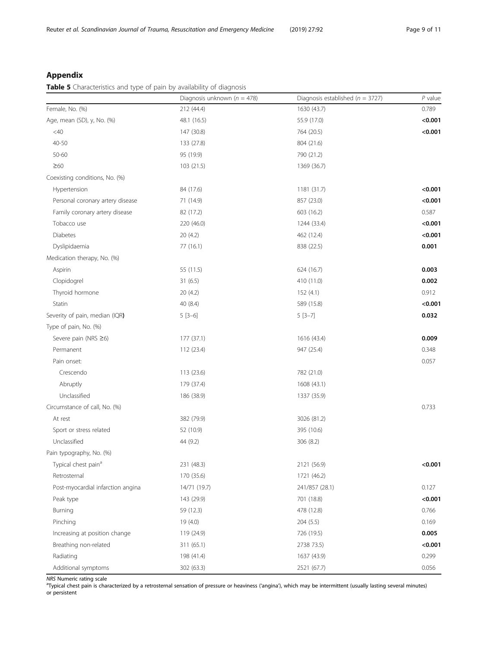# Appendix

Table 5 Characteristics and type of pain by availability of diagnosis

|                                   | Diagnosis unknown ( $n = 478$ ) | Diagnosis established ( $n = 3727$ ) | $P$ value |
|-----------------------------------|---------------------------------|--------------------------------------|-----------|
| Female, No. (%)                   | 212 (44.4)                      | 1630 (43.7)                          | 0.789     |
| Age, mean (SD), y, No. (%)        | 48.1 (16.5)                     | 55.9 (17.0)                          | < 0.001   |
| $<$ 40                            | 147 (30.8)                      | 764 (20.5)                           | < 0.001   |
| 40-50                             | 133 (27.8)                      | 804 (21.6)                           |           |
| 50-60                             | 95 (19.9)                       | 790 (21.2)                           |           |
| $\geq 60$                         | 103 (21.5)                      | 1369 (36.7)                          |           |
| Coexisting conditions, No. (%)    |                                 |                                      |           |
| Hypertension                      | 84 (17.6)                       | 1181 (31.7)                          | < 0.001   |
| Personal coronary artery disease  | 71 (14.9)                       | 857 (23.0)                           | < 0.001   |
| Family coronary artery disease    | 82 (17.2)                       | 603 (16.2)                           | 0.587     |
| Tobacco use                       | 220 (46.0)                      | 1244 (33.4)                          | < 0.001   |
| Diabetes                          | 20(4.2)                         | 462 (12.4)                           | < 0.001   |
| Dyslipidaemia                     | 77 (16.1)                       | 838 (22.5)                           | 0.001     |
| Medication therapy, No. (%)       |                                 |                                      |           |
| Aspirin                           | 55 (11.5)                       | 624 (16.7)                           | 0.003     |
| Clopidogrel                       | 31(6.5)                         | 410 (11.0)                           | 0.002     |
| Thyroid hormone                   | 20 (4.2)                        | 152(4.1)                             | 0.912     |
| Statin                            | 40 (8.4)                        | 589 (15.8)                           | < 0.001   |
| Severity of pain, median (IQR)    | $5[3-6]$                        | $5[3-7]$                             | 0.032     |
| Type of pain, No. (%)             |                                 |                                      |           |
| Severe pain (NRS ≥6)              | 177 (37.1)                      | 1616 (43.4)                          | 0.009     |
| Permanent                         | 112 (23.4)                      | 947 (25.4)                           | 0.348     |
| Pain onset:                       |                                 |                                      | 0.057     |
| Crescendo                         | 113 (23.6)                      | 782 (21.0)                           |           |
| Abruptly                          | 179 (37.4)                      | 1608 (43.1)                          |           |
| Unclassified                      | 186 (38.9)                      | 1337 (35.9)                          |           |
| Circumstance of call, No. (%)     |                                 |                                      | 0.733     |
| At rest                           | 382 (79.9)                      | 3026 (81.2)                          |           |
| Sport or stress related           | 52 (10.9)                       | 395 (10.6)                           |           |
| Unclassified                      | 44 (9.2)                        | 306 (8.2)                            |           |
| Pain typography, No. (%)          |                                 |                                      |           |
| Typical chest pain <sup>a</sup>   | 231 (48.3)                      | 2121 (56.9)                          | < 0.001   |
| Retrosternal                      | 170 (35.6)                      | 1721 (46.2)                          |           |
| Post-myocardial infarction angina | 14/71 (19.7)                    | 241/857 (28.1)                       | 0.127     |
| Peak type                         | 143 (29.9)                      | 701 (18.8)                           | < 0.001   |
| Burning                           | 59 (12.3)                       | 478 (12.8)                           | 0.766     |
| Pinching                          | 19(4.0)                         | 204(5.5)                             | 0.169     |
| Increasing at position change     | 119 (24.9)                      | 726 (19.5)                           | 0.005     |
| Breathing non-related             | 311 (65.1)                      | 2738 73.5)                           | < 0.001   |
| Radiating                         | 198 (41.4)                      | 1637 (43.9)                          | 0.299     |
| Additional symptoms               | 302 (63.3)                      | 2521 (67.7)                          | 0.056     |

NRS Numeric rating scale<br><sup>a</sup>Typical chest pain is characterized by a retrosternal sensation of pressure or heaviness ('angina'), which may be intermittent (usually lasting several minutes) or persistent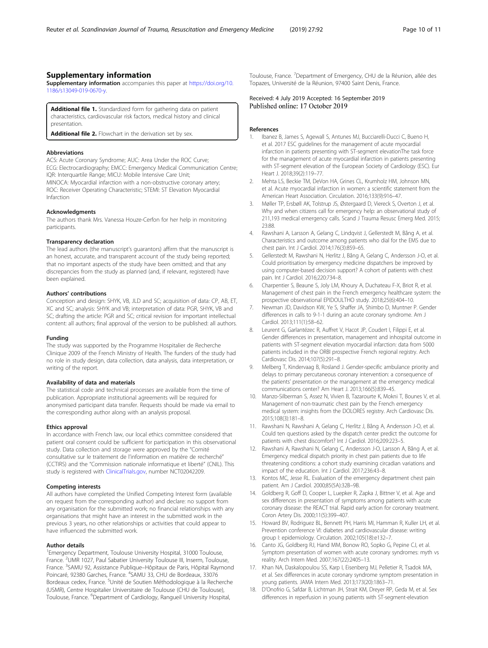# <span id="page-9-0"></span>Supplementary information

Supplementary information accompanies this paper at [https://doi.org/10.](https://doi.org/10.1186/s13049-019-0670-y) [1186/s13049-019-0670-y](https://doi.org/10.1186/s13049-019-0670-y).

Additional file 1. Standardized form for gathering data on patient characteristics, cardiovascular risk factors, medical history and clinical presentation.

Additional file 2. Flowchart in the derivation set by sex.

#### Abbreviations

ACS: Acute Coronary Syndrome; AUC: Area Under the ROC Curve; ECG: Electrocardiography; EMCC: Emergency Medical Communication Centre; IQR: Interquartile Range; MICU: Mobile Intensive Care Unit; MINOCA: Myocardial infarction with a non-obstructive coronary artery; ROC: Receiver Operating Characteristic; STEMI: ST Elevation Myocardial Infarction

#### Acknowledgments

The authors thank Mrs. Vanessa Houze-Cerfon for her help in monitoring participants.

#### Transparency declaration

The lead authors (the manuscript's guarantors) affirm that the manuscript is an honest, accurate, and transparent account of the study being reported; that no important aspects of the study have been omitted; and that any discrepancies from the study as planned (and, if relevant, registered) have been explained.

#### Authors' contributions

Conception and design: SHYK, VB, JLD and SC; acquisition of data: CP, AB, ET, XC and SC; analysis: SHYK and VB; interpretation of data: PGR, SHYK, VB and SC; drafting the article: PGR and SC; critical revision for important intellectual content: all authors; final approval of the version to be published: all authors.

#### Funding

The study was supported by the Programme Hospitalier de Recherche Clinique 2009 of the French Ministry of Health. The funders of the study had no role in study design, data collection, data analysis, data interpretation, or writing of the report.

#### Availability of data and materials

The statistical code and technical processes are available from the time of publication. Appropriate institutional agreements will be required for anonymised participant data transfer. Requests should be made via email to the corresponding author along with an analysis proposal.

#### Ethics approval

In accordance with French law, our local ethics committee considered that patient oral consent could be sufficient for participation in this observational study. Data collection and storage were approved by the "Comité consultative sur le traitement de l'information en matière de recherché" (CCTIRS) and the "Commission nationale informatique et liberté" (CNIL). This study is registered with [ClinicalTrials.gov,](http://clinicaltrials.gov) number NCT02042209.

#### Competing interests

All authors have completed the Unified Competing Interest form (available on request from the corresponding author) and declare: no support from any organisation for the submitted work; no financial relationships with any organisations that might have an interest in the submitted work in the previous 3 years, no other relationships or activities that could appear to have influenced the submitted work.

#### Author details

<sup>1</sup> Emergency Department, Toulouse University Hospital, 31000 Toulouse, France. <sup>2</sup>UMR 1027, Paul Sabatier University Toulouse III, Inserm, Toulouse, France. <sup>3</sup>SAMU 92, Assistance Publique–Hôpitaux de Paris, Hôpital Raymond Poincaré, 92380 Garches, France. <sup>4</sup>SAMU 33, CHU de Bordeaux, 33076 Bordeaux cedex, France. <sup>5</sup>Unité de Soutien Méthodologique à la Recherche (USMR), Centre Hospitalier Universitaire de Toulouse (CHU de Toulouse), Toulouse, France. <sup>6</sup>Department of Cardiology, Rangueil University Hospital,

Toulouse, France. <sup>7</sup>Department of Emergency, CHU de la Réunion, allée des Topazes, Université de la Réunion, 97400 Saint Denis, France.

### Received: 4 July 2019 Accepted: 16 September 2019 Published online: 17 October 2019

#### References

- 1. Ibanez B, James S, Agewall S, Antunes MJ, Bucciarelli-Ducci C, Bueno H, et al. 2017 ESC guidelines for the management of acute myocardial infarction in patients presenting with ST-segment elevationThe task force for the management of acute myocardial infarction in patients presenting with ST-segment elevation of the European Society of Cardiology (ESC). Eur Heart J. 2018;39(2):119–77.
- 2. Mehta LS, Beckie TM, DeVon HA, Grines CL, Krumholz HM, Johnson MN, et al. Acute myocardial infarction in women: a scientific statement from the American Heart Association. Circulation. 2016;133(9):916–47.
- 3. Møller TP, Ersbøll AK, Tolstrup JS, Østergaard D, Viereck S, Overton J, et al. Why and when citizens call for emergency help: an observational study of 211,193 medical emergency calls. Scand J Trauma Resusc Emerg Med. 2015; 23:88.
- 4. Rawshani A, Larsson A, Gelang C, Lindqvist J, Gellerstedt M, Bång A, et al. Characteristics and outcome among patients who dial for the EMS due to chest pain. Int J Cardiol. 2014;176(3):859–65.
- 5. Gellerstedt M, Rawshani N, Herlitz J, Bång A, Gelang C, Andersson J-O, et al. Could prioritisation by emergency medicine dispatchers be improved by using computer-based decision support? A cohort of patients with chest pain. Int J Cardiol. 2016;220:734–8.
- 6. Charpentier S, Beaune S, Joly LM, Khoury A, Duchateau F-X, Briot R, et al. Management of chest pain in the French emergency healthcare system: the prospective observational EPIDOULTHO study. 2018;25(6):404–10.
- 7. Newman JD, Davidson KW, Ye S, Shaffer JA, Shimbo D, Muntner P. Gender differences in calls to 9-1-1 during an acute coronary syndrome. Am J Cardiol. 2013;111(1):58–62.
- 8. Leurent G, Garlantézec R, Auffret V, Hacot JP, Coudert I, Filippi E, et al. Gender differences in presentation, management and inhospital outcome in patients with ST-segment elevation myocardial infarction: data from 5000 patients included in the ORBI prospective French regional registry. Arch Cardiovasc Dis. 2014;107(5):291–8.
- Melberg T, Kindervaag B, Rosland J. Gender-specific ambulance priority and delays to primary percutaneous coronary intervention: a consequence of the patients' presentation or the management at the emergency medical communications center? Am Heart J. 2013;166(5):839–45.
- 10. Manzo-Silberman S, Assez N, Vivien B, Tazarourte K, Mokni T, Bounes V, et al. Management of non-traumatic chest pain by the French emergency medical system: insights from the DOLORES registry. Arch Cardiovasc Dis. 2015;108(3):181–8.
- 11. Rawshani N, Rawshani A, Gelang C, Herlitz J, Bång A, Andersson J-O, et al. Could ten questions asked by the dispatch center predict the outcome for patients with chest discomfort? Int J Cardiol. 2016;209:223–5.
- 12. Rawshani A, Rawshani N, Gelang C, Andersson J-O, Larsson A, Bång A, et al. Emergency medical dispatch priority in chest pain patients due to life threatening conditions: a cohort study examining circadian variations and impact of the education. Int J Cardiol. 2017;236:43–8.
- 13. Kontos MC, Jesse RL. Evaluation of the emergency department chest pain patient. Am J Cardiol. 2000;85(5A):32B–9B.
- 14. Goldberg R, Goff D, Cooper L, Luepker R, Zapka J, Bittner V, et al. Age and sex differences in presentation of symptoms among patients with acute coronary disease: the REACT trial. Rapid early action for coronary treatment. Coron Artery Dis. 2000;11(5):399–407.
- 15. Howard BV, Rodriguez BL, Bennett PH, Harris MI, Hamman R, Kuller LH, et al. Prevention conference VI: diabetes and cardiovascular disease: writing group I: epidemiology. Circulation. 2002;105(18):e132–7.
- 16. Canto JG, Goldberg RJ, Hand MM, Bonow RO, Sopko G, Pepine CJ, et al. Symptom presentation of women with acute coronary syndromes: myth vs reality. Arch Intern Med. 2007;167(22):2405–13.
- 17. Khan NA, Daskalopoulou SS, Karp I, Eisenberg MJ, Pelletier R, Tsadok MA, et al. Sex differences in acute coronary syndrome symptom presentation in young patients. JAMA Intern Med. 2013;173(20):1863–71.
- 18. D'Onofrio G, Safdar B, Lichtman JH, Strait KM, Dreyer RP, Geda M, et al. Sex differences in reperfusion in young patients with ST-segment-elevation